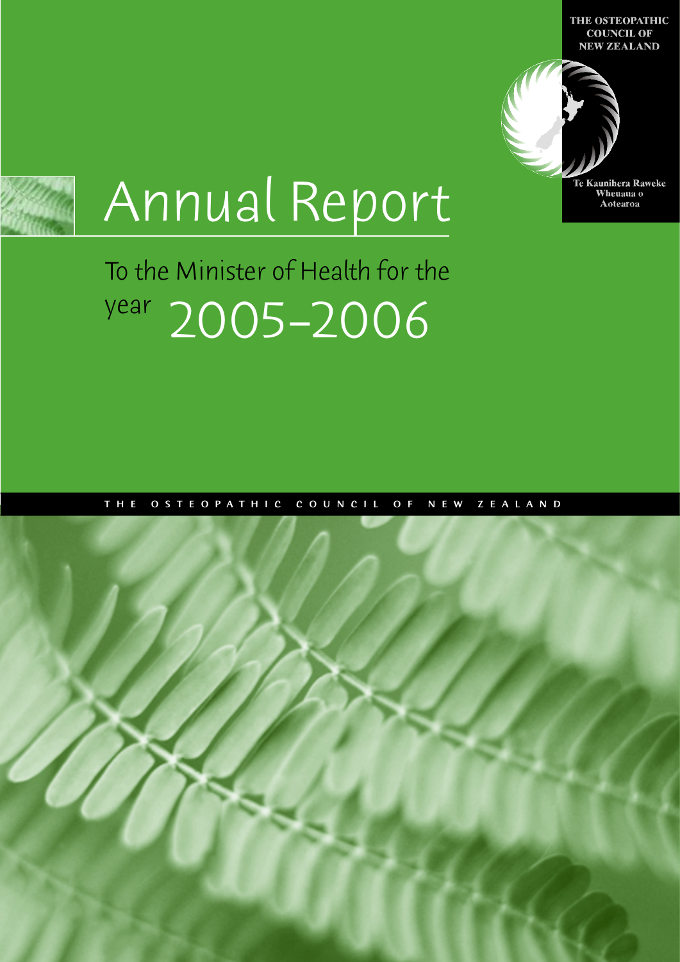**THE OSTEOPATHIC COUNCIL OF NEW ZEALAND** 





# Annual Report

## To the Minister of Health for the year 2005–2006

#### THE OSTEOPATHIC COUNCIL OF NEW ZEALAND

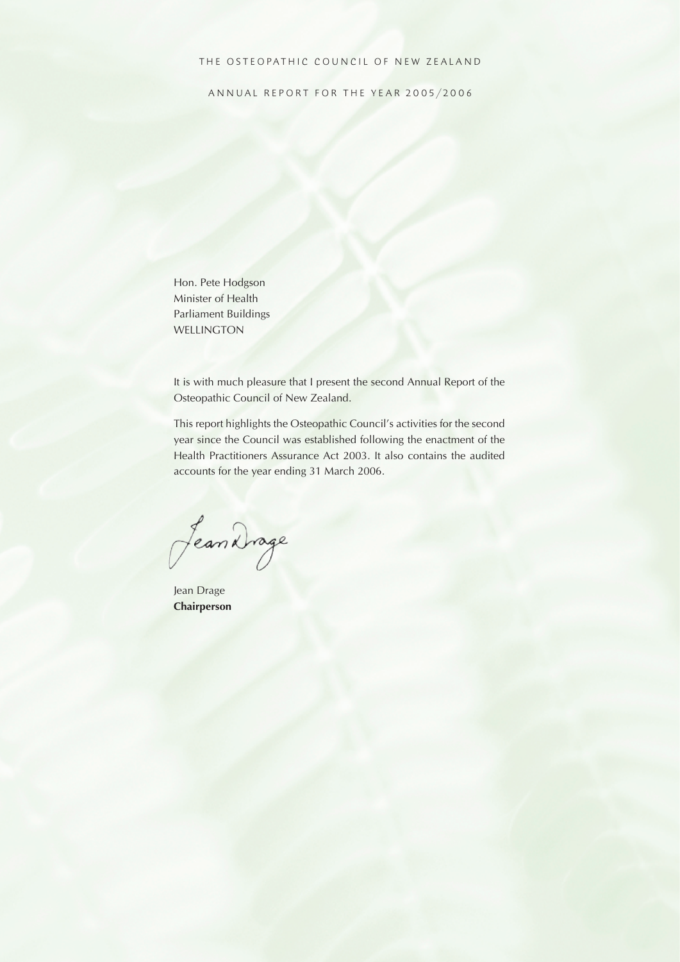#### THE OSTEOPATHIC COUNCIL OF NEW ZEALAND

ANNUAL REPORT FOR THE YEAR 2005/2006

Hon. Pete Hodgson Minister of Health Parliament Buildings WELLINGTON

It is with much pleasure that I present the second Annual Report of the Osteopathic Council of New Zealand.

This report highlights the Osteopathic Council's activities for the second year since the Council was established following the enactment of the Health Practitioners Assurance Act 2003. It also contains the audited accounts for the year ending 31 March 2006.

Jean Drage

Jean Drage **Chairperson**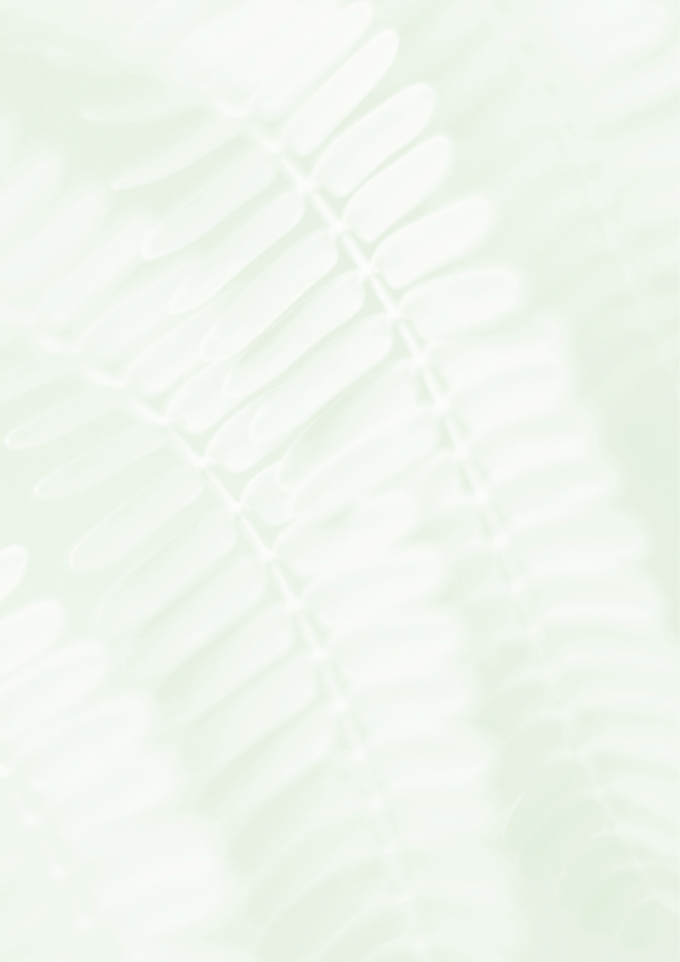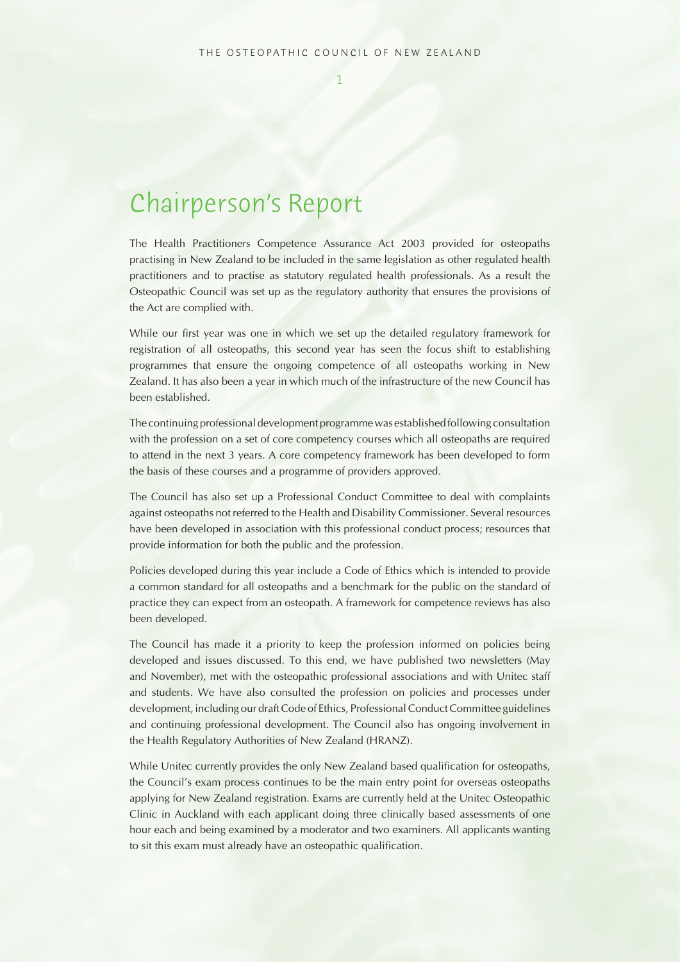## Chairperson's Report

The Health Practitioners Competence Assurance Act 2003 provided for osteopaths practising in New Zealand to be included in the same legislation as other regulated health practitioners and to practise as statutory regulated health professionals. As a result the Osteopathic Council was set up as the regulatory authority that ensures the provisions of the Act are complied with.

While our first year was one in which we set up the detailed regulatory framework for registration of all osteopaths, this second year has seen the focus shift to establishing programmes that ensure the ongoing competence of all osteopaths working in New Zealand. It has also been a year in which much of the infrastructure of the new Council has been established.

The continuing professional development programme was established following consultation with the profession on a set of core competency courses which all osteopaths are required to attend in the next 3 years. A core competency framework has been developed to form the basis of these courses and a programme of providers approved.

The Council has also set up a Professional Conduct Committee to deal with complaints against osteopaths not referred to the Health and Disability Commissioner. Several resources have been developed in association with this professional conduct process; resources that provide information for both the public and the profession.

Policies developed during this year include a Code of Ethics which is intended to provide a common standard for all osteopaths and a benchmark for the public on the standard of practice they can expect from an osteopath. A framework for competence reviews has also been developed.

The Council has made it a priority to keep the profession informed on policies being developed and issues discussed. To this end, we have published two newsletters (May and November), met with the osteopathic professional associations and with Unitec staff and students. We have also consulted the profession on policies and processes under development, including our draft Code of Ethics, Professional Conduct Committee guidelines and continuing professional development. The Council also has ongoing involvement in the Health Regulatory Authorities of New Zealand (HRANZ).

While Unitec currently provides the only New Zealand based qualification for osteopaths, the Council's exam process continues to be the main entry point for overseas osteopaths applying for New Zealand registration. Exams are currently held at the Unitec Osteopathic Clinic in Auckland with each applicant doing three clinically based assessments of one hour each and being examined by a moderator and two examiners. All applicants wanting to sit this exam must already have an osteopathic qualification.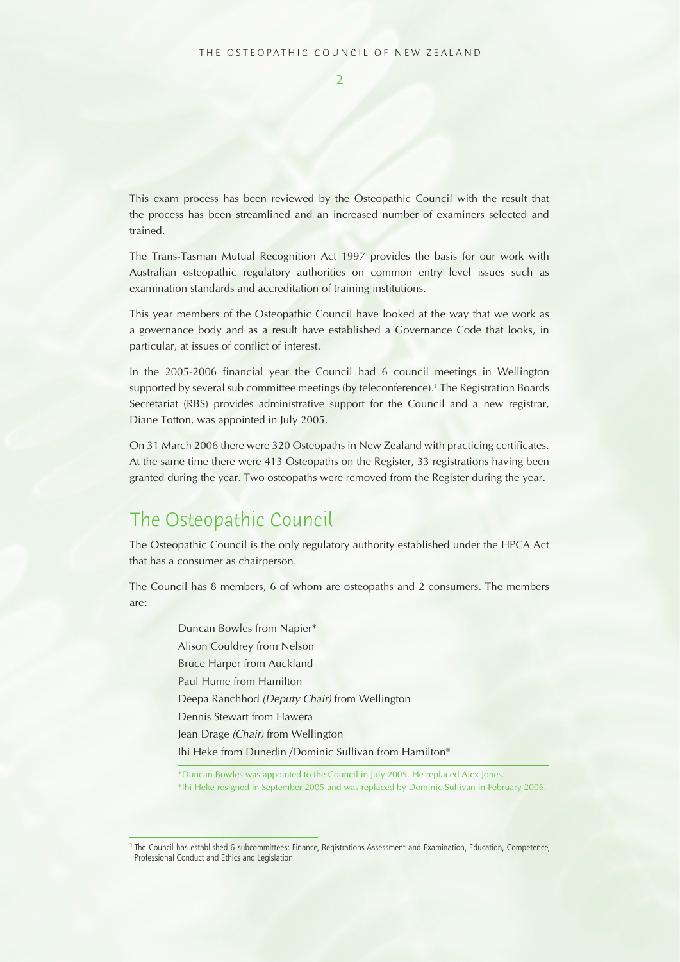This exam process has been reviewed by the Osteopathic Council with the result that the process has been streamlined and an increased number of examiners selected and trained.

The Trans-Tasman Mutual Recognition Act 1997 provides the basis for our work with Australian osteopathic regulatory authorities on common entry level issues such as examination standards and accreditation of training institutions.

This year members of the Osteopathic Council have looked at the way that we work as a governance body and as a result have established a Governance Code that looks, in particular, at issues of conflict of interest.

In the 2005-2006 financial year the Council had 6 council meetings in Wellington supported by several sub committee meetings (by teleconference).**<sup>1</sup>** The Registration Boards Secretariat (RBS) provides administrative support for the Council and a new registrar, Diane Totton, was appointed in July 2005.

On 31 March 2006 there were 320 Osteopaths in New Zealand with practicing certificates. At the same time there were 413 Osteopaths on the Register, 33 registrations having been granted during the year. Two osteopaths were removed from the Register during the year.

## The Osteopathic Council

The Osteopathic Council is the only regulatory authority established under the HPCA Act that has a consumer as chairperson.

The Council has 8 members, 6 of whom are osteopaths and 2 consumers. The members are:

> Duncan Bowles from Napier\* Alison Couldrey from Nelson Bruce Harper from Auckland Paul Hume from Hamilton Deepa Ranchhod (Deputy Chair) from Wellington Dennis Stewart from Hawera Jean Drage (Chair) from Wellington Ihi Heke from Dunedin /Dominic Sullivan from Hamilton\*

\*Duncan Bowles was appointed to the Council in July 2005. He replaced Alex Jones. \*Ihi Heke resigned in September 2005 and was replaced by Dominic Sullivan in February 2006.

**<sup>1</sup>**The Council has established 6 subcommittees: Finance, Registrations Assessment and Examination, Education, Competence, Professional Conduct and Ethics and Legislation.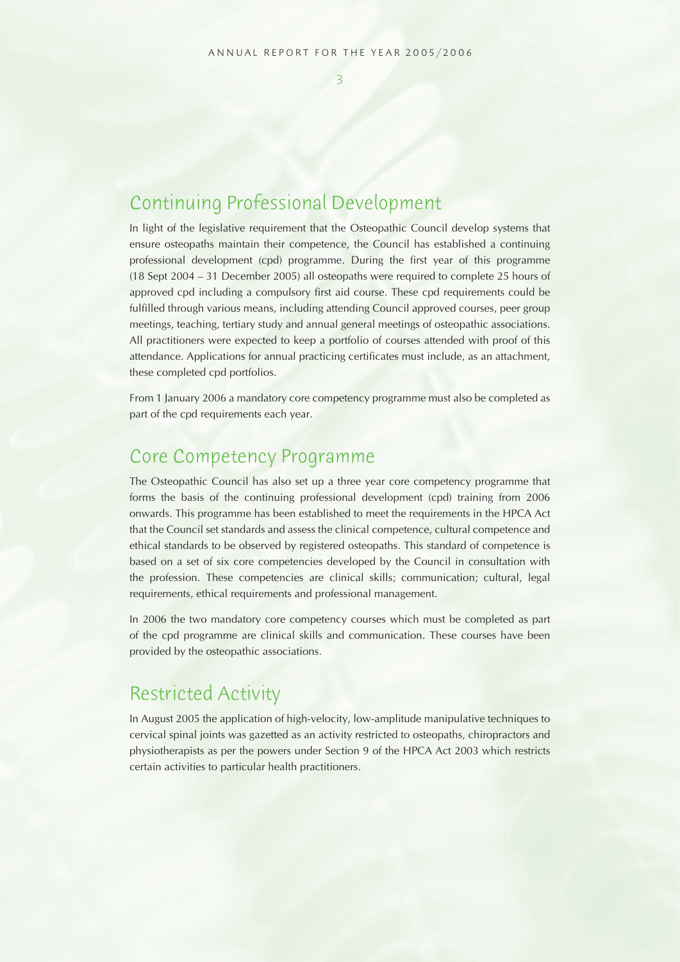## Continuing Professional Development

In light of the legislative requirement that the Osteopathic Council develop systems that ensure osteopaths maintain their competence, the Council has established a continuing professional development (cpd) programme. During the first year of this programme (18 Sept 2004 – 31 December 2005) all osteopaths were required to complete 25 hours of approved cpd including a compulsory first aid course. These cpd requirements could be fulfilled through various means, including attending Council approved courses, peer group meetings, teaching, tertiary study and annual general meetings of osteopathic associations. All practitioners were expected to keep a portfolio of courses attended with proof of this attendance. Applications for annual practicing certificates must include, as an attachment, these completed cpd portfolios.

From 1 January 2006 a mandatory core competency programme must also be completed as part of the cpd requirements each year.

## Core Competency Programme

The Osteopathic Council has also set up a three year core competency programme that forms the basis of the continuing professional development (cpd) training from 2006 onwards. This programme has been established to meet the requirements in the HPCA Act that the Council set standards and assess the clinical competence, cultural competence and ethical standards to be observed by registered osteopaths. This standard of competence is based on a set of six core competencies developed by the Council in consultation with the profession. These competencies are clinical skills; communication; cultural, legal requirements, ethical requirements and professional management.

In 2006 the two mandatory core competency courses which must be completed as part of the cpd programme are clinical skills and communication. These courses have been provided by the osteopathic associations.

## Restricted Activity

In August 2005 the application of high-velocity, low-amplitude manipulative techniques to cervical spinal joints was gazetted as an activity restricted to osteopaths, chiropractors and physiotherapists as per the powers under Section 9 of the HPCA Act 2003 which restricts certain activities to particular health practitioners.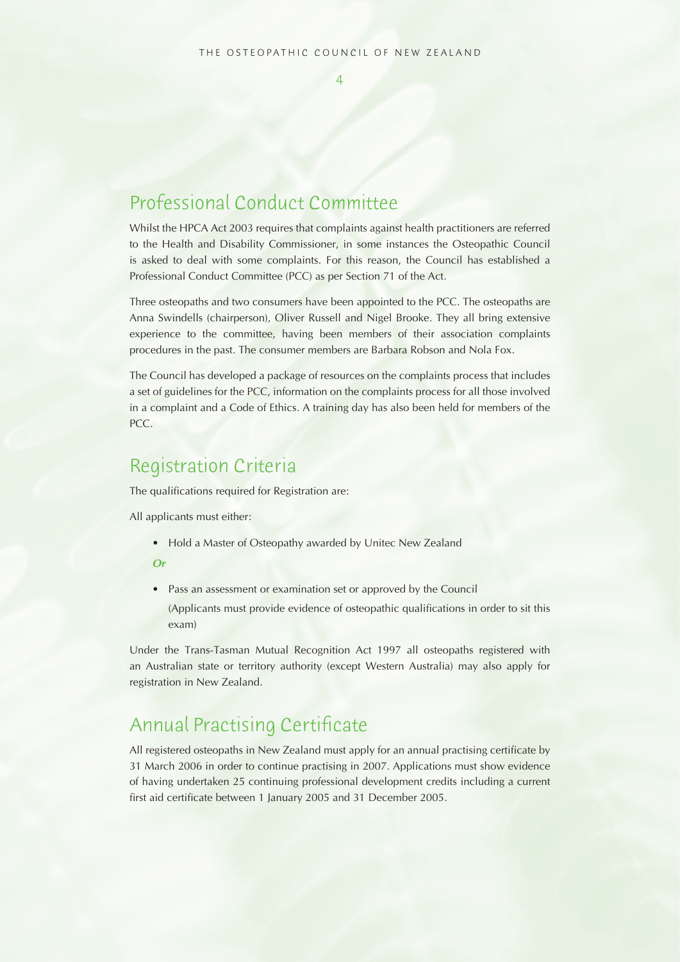$\Delta$ 

## Professional Conduct Committee

Whilst the HPCA Act 2003 requires that complaints against health practitioners are referred to the Health and Disability Commissioner, in some instances the Osteopathic Council is asked to deal with some complaints. For this reason, the Council has established a Professional Conduct Committee (PCC) as per Section 71 of the Act.

Three osteopaths and two consumers have been appointed to the PCC. The osteopaths are Anna Swindells (chairperson), Oliver Russell and Nigel Brooke. They all bring extensive experience to the committee, having been members of their association complaints procedures in the past. The consumer members are Barbara Robson and Nola Fox.

The Council has developed a package of resources on the complaints process that includes a set of guidelines for the PCC, information on the complaints process for all those involved in a complaint and a Code of Ethics. A training day has also been held for members of the PCC.

### Registration Criteria

The qualifications required for Registration are:

All applicants must either:

- Hold a Master of Osteopathy awarded by Unitec New Zealand
- **Or**
- Pass an assessment or examination set or approved by the Council

(Applicants must provide evidence of osteopathic qualifications in order to sit this exam)

Under the Trans-Tasman Mutual Recognition Act 1997 all osteopaths registered with an Australian state or territory authority (except Western Australia) may also apply for registration in New Zealand.

## Annual Practising Certificate

All registered osteopaths in New Zealand must apply for an annual practising certificate by 31 March 2006 in order to continue practising in 2007. Applications must show evidence of having undertaken 25 continuing professional development credits including a current first aid certificate between 1 January 2005 and 31 December 2005.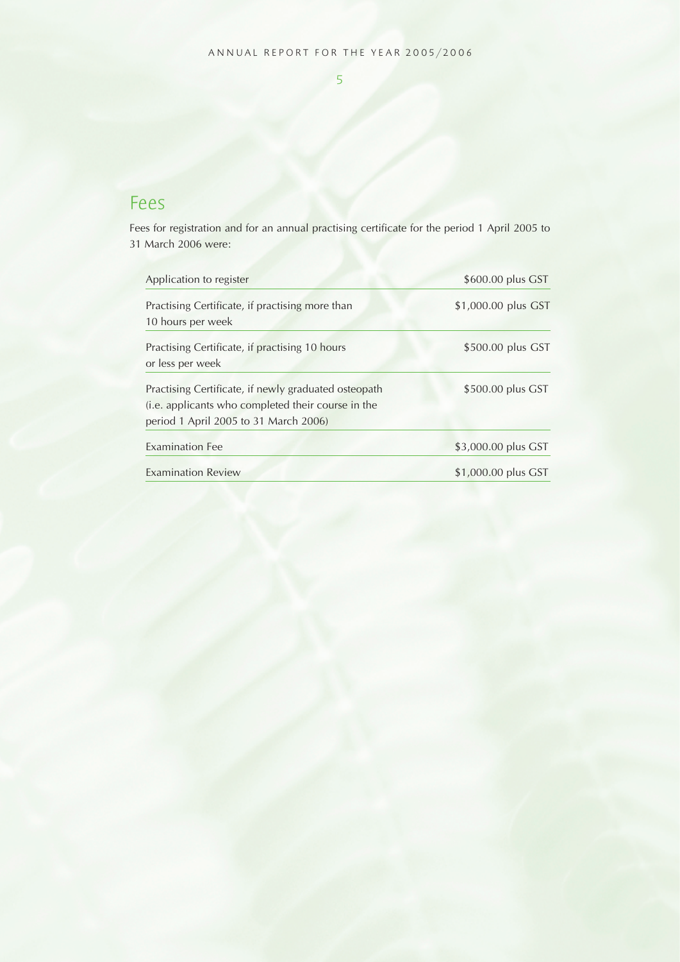## Fees

Fees for registration and for an annual practising certificate for the period 1 April 2005 to 31 March 2006 were:

| Application to register                                    | \$600.00 plus GST   |  |  |
|------------------------------------------------------------|---------------------|--|--|
| Practising Certificate, if practising more than            | \$1,000.00 plus GST |  |  |
| 10 hours per week                                          |                     |  |  |
| Practising Certificate, if practising 10 hours             | \$500.00 plus GST   |  |  |
| or less per week                                           |                     |  |  |
| Practising Certificate, if newly graduated osteopath       | \$500.00 plus GST   |  |  |
| ( <i>i.e.</i> applicants who completed their course in the |                     |  |  |
| period 1 April 2005 to 31 March 2006)                      |                     |  |  |
| <b>Examination Fee</b>                                     | \$3,000.00 plus GST |  |  |
| <b>Examination Review</b>                                  | \$1,000.00 plus GST |  |  |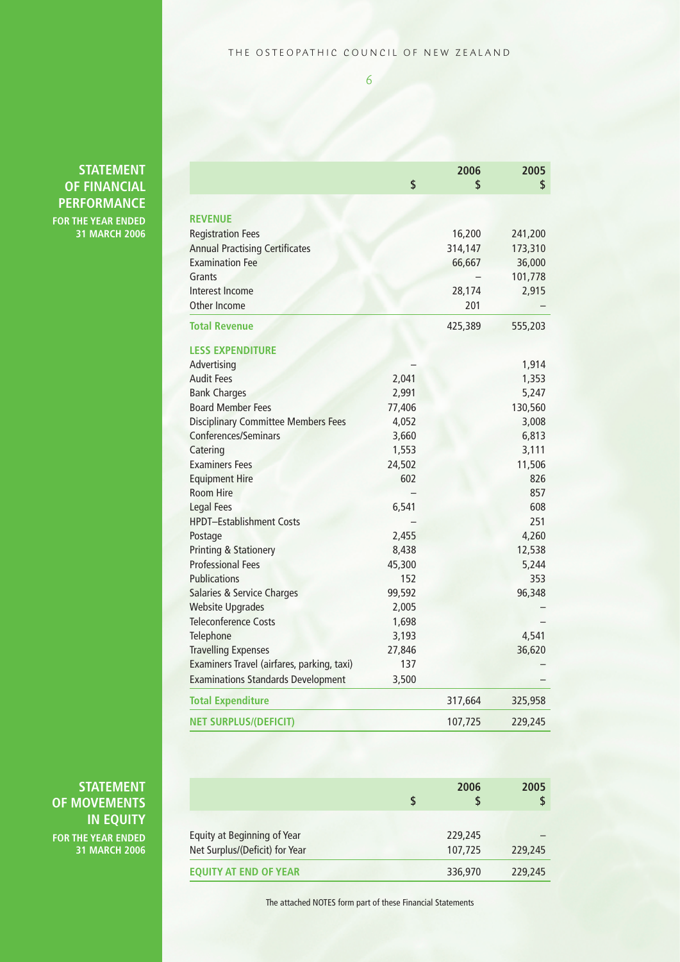#### THE OSTEOPATHIC COUNCIL OF NEW ZEALAND

6

 **2006 2005**

#### **STATEMENT OF FINANCIAL PERFORMANCE FOR THE YEAR ENDED 31 MARCH 2006**

|                                            | \$     | \$      | \$      |
|--------------------------------------------|--------|---------|---------|
|                                            |        |         |         |
| <b>REVENUE</b>                             |        |         |         |
| <b>Registration Fees</b>                   |        | 16,200  | 241,200 |
| <b>Annual Practising Certificates</b>      |        | 314,147 | 173,310 |
| <b>Examination Fee</b>                     |        | 66,667  | 36,000  |
| Grants                                     |        |         | 101,778 |
| Interest Income                            |        | 28,174  | 2,915   |
| Other Income                               |        | 201     |         |
| <b>Total Revenue</b>                       |        | 425,389 | 555,203 |
| <b>LESS EXPENDITURE</b>                    |        |         |         |
| Advertising                                |        |         | 1,914   |
| <b>Audit Fees</b>                          | 2,041  |         | 1,353   |
| <b>Bank Charges</b>                        | 2,991  |         | 5,247   |
| <b>Board Member Fees</b>                   | 77,406 |         | 130,560 |
| <b>Disciplinary Committee Members Fees</b> | 4,052  |         | 3,008   |
| <b>Conferences/Seminars</b>                | 3,660  |         | 6,813   |
| Catering                                   | 1,553  |         | 3,111   |
| <b>Examiners Fees</b>                      | 24,502 |         | 11,506  |
| <b>Equipment Hire</b>                      | 602    |         | 826     |
| <b>Room Hire</b>                           |        |         | 857     |
| <b>Legal Fees</b>                          | 6,541  |         | 608     |
| <b>HPDT-Establishment Costs</b>            |        |         | 251     |
| Postage                                    | 2,455  |         | 4,260   |
| <b>Printing &amp; Stationery</b>           | 8,438  |         | 12,538  |
| <b>Professional Fees</b>                   | 45,300 |         | 5,244   |
| <b>Publications</b>                        | 152    |         | 353     |
| <b>Salaries &amp; Service Charges</b>      | 99,592 |         | 96,348  |
| <b>Website Upgrades</b>                    | 2,005  |         |         |
| <b>Teleconference Costs</b>                | 1,698  |         |         |
| Telephone                                  | 3,193  |         | 4,541   |
| <b>Travelling Expenses</b>                 | 27,846 |         | 36,620  |
| Examiners Travel (airfares, parking, taxi) | 137    |         |         |
| <b>Examinations Standards Development</b>  | 3,500  |         |         |
| <b>Total Expenditure</b>                   |        | 317,664 | 325,958 |
| <b>NET SURPLUS/(DEFICIT)</b>               |        | 107,725 | 229,245 |
|                                            |        |         |         |

**STATEMENT OF MOVEMENTS IN EQUITY FOR THE YEAR ENDED 31 MARCH 2006**

| 2006<br>2005<br>S                                    |  |
|------------------------------------------------------|--|
|                                                      |  |
|                                                      |  |
| <b>Equity at Beginning of Year</b><br>229,245        |  |
| Net Surplus/(Deficit) for Year<br>107,725<br>229,245 |  |
| <b>EQUITY AT END OF YEAR</b><br>336,970<br>229,245   |  |

The attached NOTES form part of these Financial Statements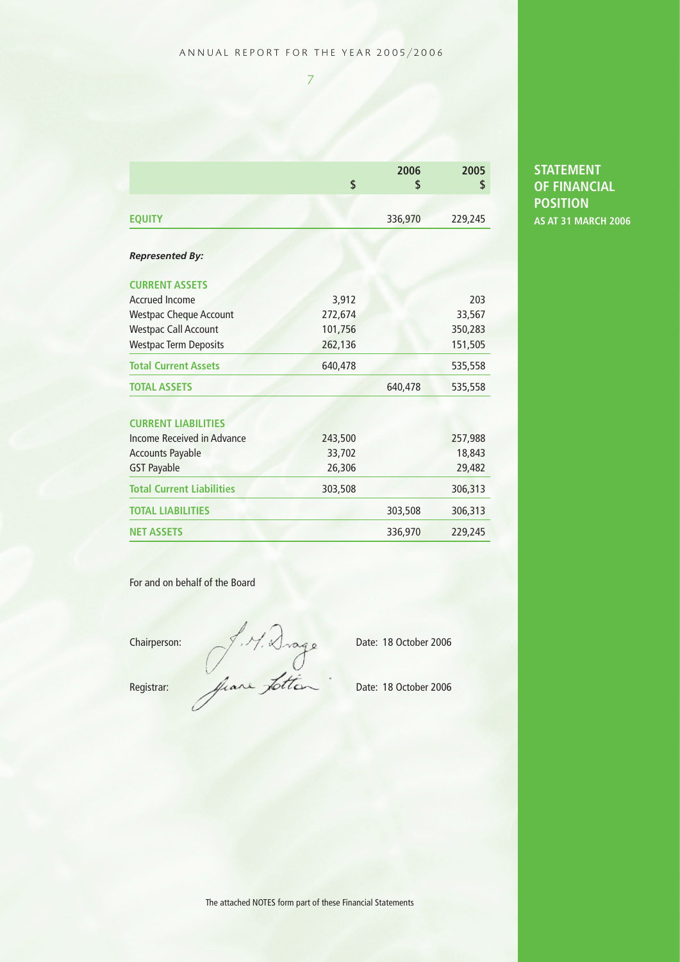#### A N N U A L R E P O R T F O R T H E Y E A R 2005/2006

7

|                                   | \$      | 2006<br>\$ | 2005<br>\$ |  |
|-----------------------------------|---------|------------|------------|--|
|                                   |         |            |            |  |
| <b>EQUITY</b>                     |         | 336,970    | 229,245    |  |
| <b>Represented By:</b>            |         |            |            |  |
| <b>CURRENT ASSETS</b>             |         |            |            |  |
| <b>Accrued Income</b>             | 3,912   |            | 203        |  |
| <b>Westpac Cheque Account</b>     | 272,674 |            | 33,567     |  |
| <b>Westpac Call Account</b>       | 101,756 |            | 350,283    |  |
| <b>Westpac Term Deposits</b>      | 262,136 |            | 151,505    |  |
| <b>Total Current Assets</b>       | 640,478 |            | 535,558    |  |
| <b>TOTAL ASSETS</b>               |         | 640,478    | 535,558    |  |
| <b>CURRENT LIABILITIES</b>        |         |            |            |  |
| <b>Income Received in Advance</b> | 243,500 |            | 257,988    |  |
| <b>Accounts Payable</b>           | 33,702  |            | 18,843     |  |
| <b>GST Payable</b>                | 26,306  |            | 29,482     |  |
| <b>Total Current Liabilities</b>  | 303,508 |            | 306,313    |  |
| <b>TOTAL LIABILITIES</b>          |         | 303,508    | 306,313    |  |
| <b>NET ASSETS</b>                 |         | 336,970    | 229,245    |  |

For and on behalf of the Board

Chairperson:  $\left[\begin{array}{cc} \end{array}\right]$   $\left[\begin{array}{cc} \end{array}\right]$   $\left[\begin{array}{cc} \end{array}\right]$   $\left[\begin{array}{cc} \end{array}\right]$  Date: 18 October 2006

Registrar:  $\mu$  and  $\mu$   $\alpha$  and  $\alpha$  Date: 18 October 2006

**STATEMENT OF FINANCIAL POSITION AS AT 31 MARCH 2006**

The attached NOTES form part of these Financial Statements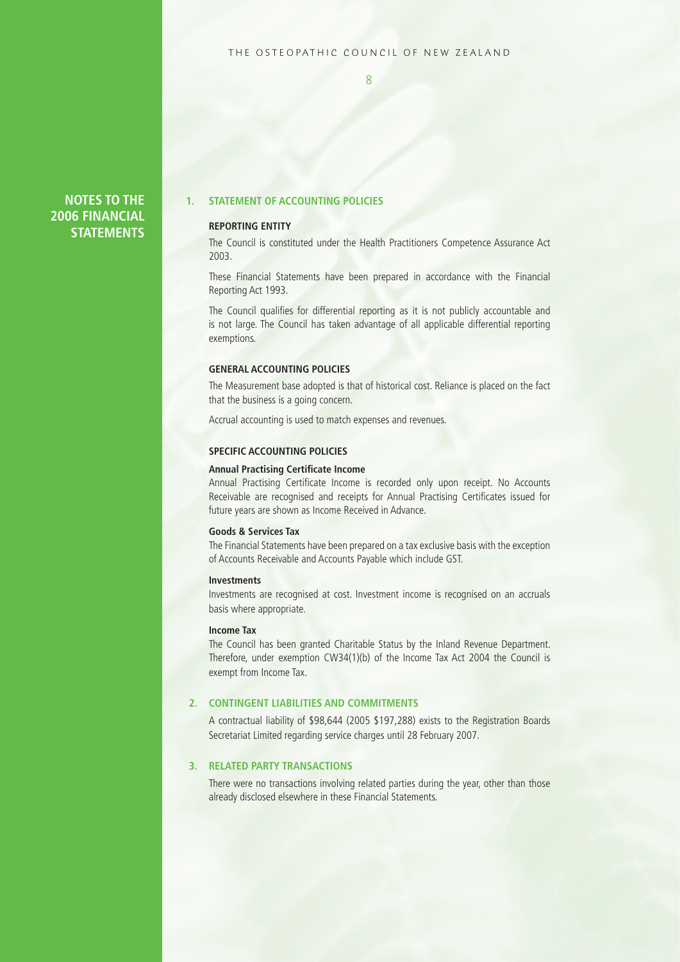#### THE OSTEOPATHIC COUNCIL OF NEW ZEALAND

8

#### **NOTES TO THE 2006 FINANCIAL STATEMENTS**

#### **STATEMENT OF ACCOUNTING POLICIES**

#### **REPORTING ENTITY**

The Council is constituted under the Health Practitioners Competence Assurance Act 2003.

These Financial Statements have been prepared in accordance with the Financial Reporting Act 1993.

The Council qualifies for differential reporting as it is not publicly accountable and is not large. The Council has taken advantage of all applicable differential reporting exemptions.

#### **GENERAL ACCOUNTING POLICIES**

The Measurement base adopted is that of historical cost. Reliance is placed on the fact that the business is a going concern.

Accrual accounting is used to match expenses and revenues.

#### **SPECIFIC ACCOUNTING POLICIES**

#### **Annual Practising Certificate Income**

Annual Practising Certificate Income is recorded only upon receipt. No Accounts Receivable are recognised and receipts for Annual Practising Certificates issued for future years are shown as Income Received in Advance.

#### **Goods & Services Tax**

The Financial Statements have been prepared on a tax exclusive basis with the exception of Accounts Receivable and Accounts Payable which include GST.

#### **Investments**

Investments are recognised at cost. Investment income is recognised on an accruals basis where appropriate.

#### **Income Tax**

The Council has been granted Charitable Status by the Inland Revenue Department. Therefore, under exemption CW34(1)(b) of the Income Tax Act 2004 the Council is exempt from Income Tax.

#### **2. CONTINGENT LIABILITIES AND COMMITMENTS**

A contractual liability of \$98,644 (2005 \$197,288) exists to the Registration Boards Secretariat Limited regarding service charges until 28 February 2007.

#### **3. RELATED PARTY TRANSACTIONS**

There were no transactions involving related parties during the year, other than those already disclosed elsewhere in these Financial Statements.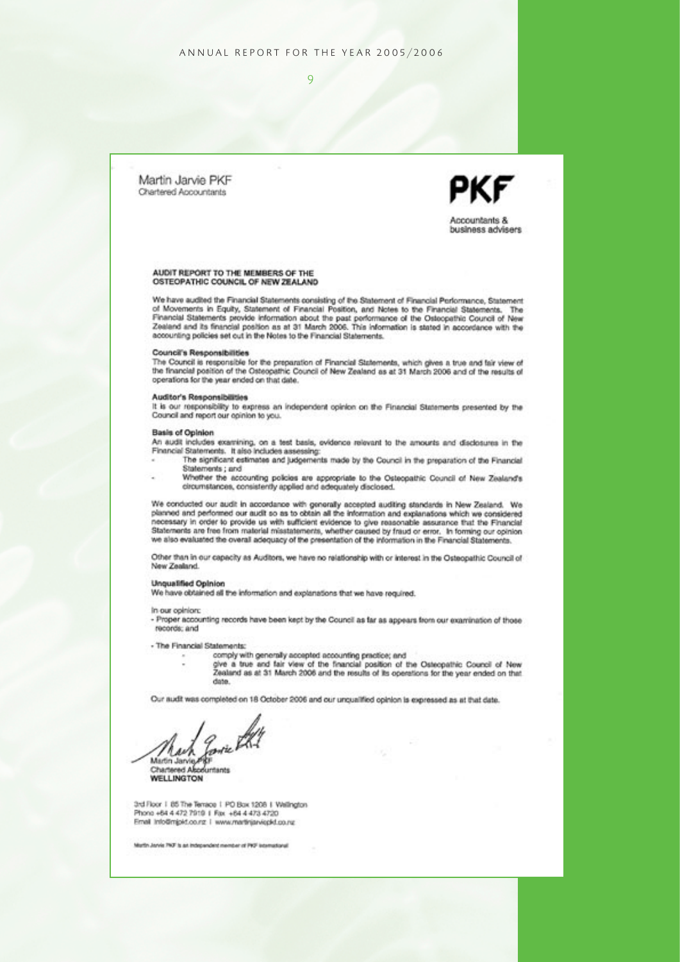#### ANNUAL REPORT FOR THE YEAR 2005/2006

 $\overline{a}$ 

Martin Jarvie PKF Chartered Accountants



Accountants & business advisers

#### AUDIT REPORT TO THE MEMBERS OF THE OSTEOPATHIC COUNCIL OF NEW ZEALAND

We have audited the Financial Statements consisting of the Statement of Financial Performance, Statement of Movements in Equity, Statement of Financial Position, and Notes to the Financial Statements. The Financial Stateme Zealand and its financial position as at 31 March 2006. This information is stated in accordance with the accounting policies set out in the Notes to the Financial Statements.

#### **Council's Responsibilities**

The Council is responsible for the preparation of Financial Statements, which gives a true and fair view of the financial position of the Osteopathic Council of New Zealand as at 31 March 2006 and of the results of operations for the year ended on that date.

#### **Auditor's Responsibilities**

It is our responsibility to express an independent opinion on the Financial Statements presented by the Council and report our opinion to you.

#### **Basis of Opinion**

An audit includes examining, on a test basis, evidence relevant to the amounts and disclosures in the Financial Statements. It also includes assessing:<br>- The significant estimates and judgements made by the Council in the preparation of the Financial

- Statements; and
	- Whether the accounting policies are appropriate to the Osteopathic Council of New Zealand's circumstances, consistently applied and adequately disclosed.

We conducted our audit in accordance with generally accepted auditing standards in New Zealand. We<br>planned and performed our audit so as to obtain all the information and explanations which we considered necessary in order to provide us with sufficient evidence to give reasonable assurance that the Financial Statements are free from material misstatements, whether caused by fraud or error. In forming our opinion we also evaluated the overall adequacy of the presentation of the information in the Financial Statements.

Other than in our capacity as Auditors, we have no relationship with or interest in the Osteopathic Council of New Zealand

#### **Unqualified Opinion**

We have obtained all the information and explanations that we have required.

In our onlinings:

- Proper accounting records have been kept by the Council as far as appears from our examination of those records; and

- The Financial Statements:

- 
- comply with generally accepted accounting practice; and<br>give a true and fair view of the financial position of the Osteopathic Council of New<br>Zealand as at 31 March 2006 and the results of its operations for the year ended date.

Our audit was completed on 18 October 2006 and our unqualified opinion is expressed as at that date.

Martin Jarvie PRF

**WELLINGTON** 

3rd Floor 1 85 The Tenace 1 PO Box 1208 1 Wellington Phono +64 4 472 7919 | Fax +64 4 473 4720 Froat Info@minist.co.nz 1 www.martinianviorid.co.nz

North Jarvie PAT is an independent member of PKF international